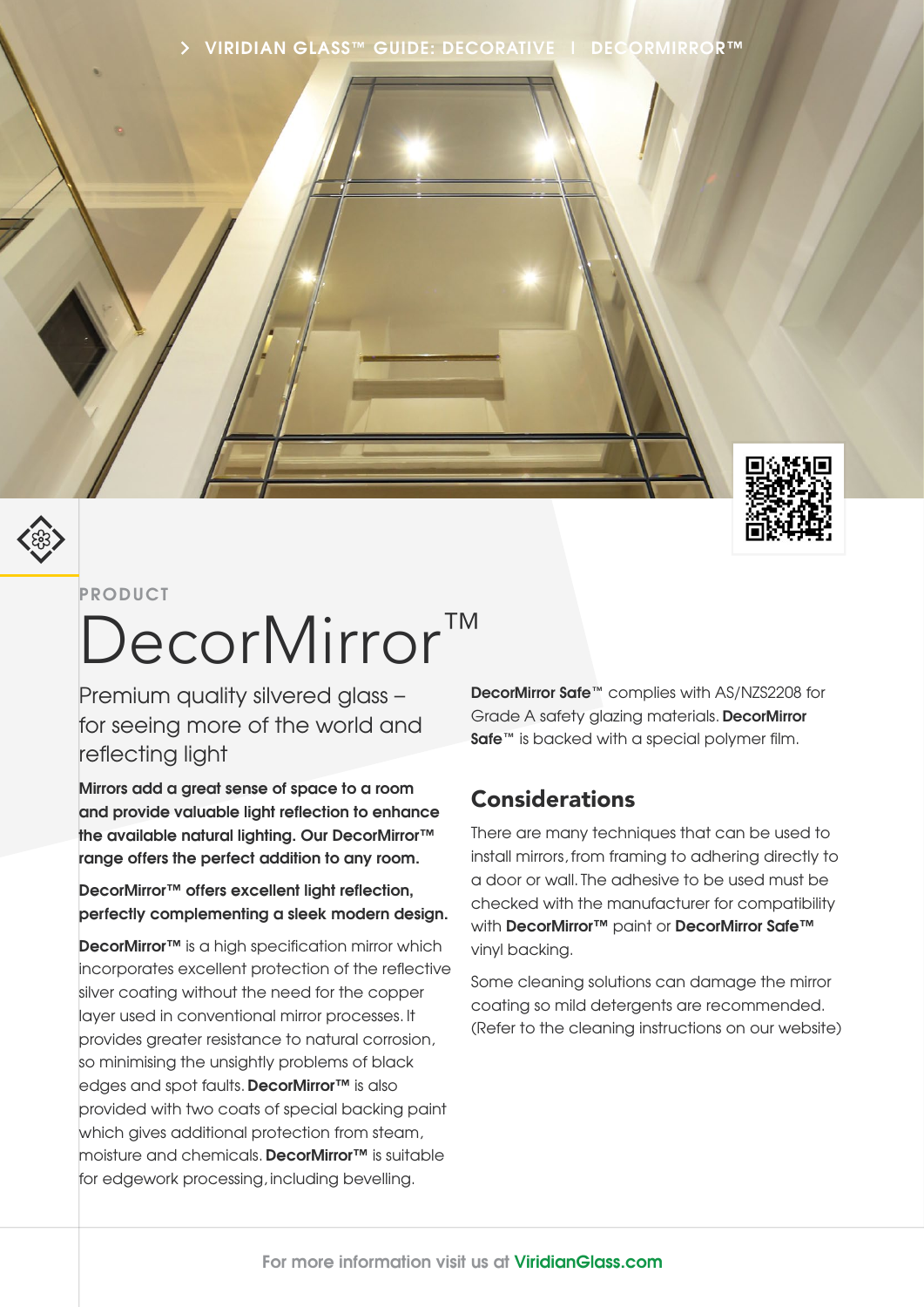#### **VIRIDIAN GLASS™ GUIDE: DECORATIVE | DECORMIRROR™**



#### **PRODUCT**

# DecorMirror™

Premium quality silvered glass for seeing more of the world and reflecting light

**Mirrors add a great sense of space to a room and provide valuable light reflection to enhance the available natural lighting. Our DecorMirror™ range offers the perfect addition to any room.**

**DecorMirror™ offers excellent light reflection, perfectly complementing a sleek modern design.**

**DecorMirror™** is a high specification mirror which incorporates excellent protection of the reflective silver coating without the need for the copper layer used in conventional mirror processes. It provides greater resistance to natural corrosion, so minimising the unsightly problems of black edges and spot faults. **DecorMirror™** is also provided with two coats of special backing paint which gives additional protection from steam, moisture and chemicals. **DecorMirror™** is suitable for edgework processing, including bevelling.

DecorMirror Safe<sup>™</sup> complies with AS/NZS2208 for Grade A safety glazing materials. DecorMirror Safe<sup>™</sup> is backed with a special polymer film.

#### Considerations

There are many techniques that can be used to install mirrors, from framing to adhering directly to a door or wall. The adhesive to be used must be checked with the manufacturer for compatibility with **DecorMirror™** paint or **DecorMirror Safe™**  vinyl backing.

Some cleaning solutions can damage the mirror coating so mild detergents are recommended. (Refer to the cleaning instructions on our website)